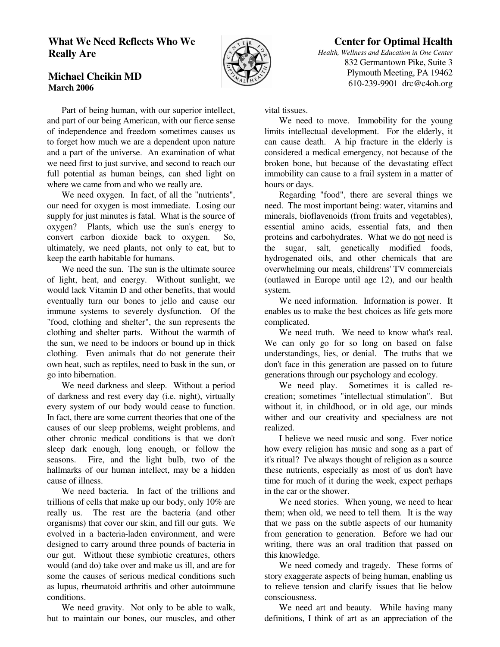## **What We Need Reflects Who We Really Are**



## **Center for Optimal Health**

*Health, Wellness and Education in One Center* 832 Germantown Pike, Suite 3 Plymouth Meeting, PA 19462 610-239-9901 drc@c4oh.org

## **Michael Cheikin MD March 2006**

 Part of being human, with our superior intellect, and part of our being American, with our fierce sense of independence and freedom sometimes causes us to forget how much we are a dependent upon nature and a part of the universe. An examination of what we need first to just survive, and second to reach our full potential as human beings, can shed light on where we came from and who we really are.

 We need oxygen. In fact, of all the "nutrients", our need for oxygen is most immediate. Losing our supply for just minutes is fatal. What is the source of oxygen? Plants, which use the sun's energy to convert carbon dioxide back to oxygen. So, ultimately, we need plants, not only to eat, but to keep the earth habitable for humans.

 We need the sun. The sun is the ultimate source of light, heat, and energy. Without sunlight, we would lack Vitamin D and other benefits, that would eventually turn our bones to jello and cause our immune systems to severely dysfunction. Of the "food, clothing and shelter", the sun represents the clothing and shelter parts. Without the warmth of the sun, we need to be indoors or bound up in thick clothing. Even animals that do not generate their own heat, such as reptiles, need to bask in the sun, or go into hibernation.

 We need darkness and sleep. Without a period of darkness and rest every day (i.e. night), virtually every system of our body would cease to function. In fact, there are some current theories that one of the causes of our sleep problems, weight problems, and other chronic medical conditions is that we don't sleep dark enough, long enough, or follow the seasons. Fire, and the light bulb, two of the hallmarks of our human intellect, may be a hidden cause of illness.

 We need bacteria. In fact of the trillions and trillions of cells that make up our body, only 10% are really us. The rest are the bacteria (and other organisms) that cover our skin, and fill our guts. We evolved in a bacteria-laden environment, and were designed to carry around three pounds of bacteria in our gut. Without these symbiotic creatures, others would (and do) take over and make us ill, and are for some the causes of serious medical conditions such as lupus, rheumatoid arthritis and other autoimmune conditions.

 We need gravity. Not only to be able to walk, but to maintain our bones, our muscles, and other vital tissues.

 We need to move. Immobility for the young limits intellectual development. For the elderly, it can cause death. A hip fracture in the elderly is considered a medical emergency, not because of the broken bone, but because of the devastating effect immobility can cause to a frail system in a matter of hours or days.

 Regarding "food", there are several things we need. The most important being: water, vitamins and minerals, bioflavenoids (from fruits and vegetables), essential amino acids, essential fats, and then proteins and carbohydrates. What we do not need is the sugar, salt, genetically modified foods, hydrogenated oils, and other chemicals that are overwhelming our meals, childrens' TV commercials (outlawed in Europe until age 12), and our health system.

 We need information. Information is power. It enables us to make the best choices as life gets more complicated.

 We need truth. We need to know what's real. We can only go for so long on based on false understandings, lies, or denial. The truths that we don't face in this generation are passed on to future generations through our psychology and ecology.

 We need play. Sometimes it is called recreation; sometimes "intellectual stimulation". But without it, in childhood, or in old age, our minds wither and our creativity and specialness are not realized.

 I believe we need music and song. Ever notice how every religion has music and song as a part of it's ritual? I've always thought of religion as a source these nutrients, especially as most of us don't have time for much of it during the week, expect perhaps in the car or the shower.

 We need stories. When young, we need to hear them; when old, we need to tell them. It is the way that we pass on the subtle aspects of our humanity from generation to generation. Before we had our writing, there was an oral tradition that passed on this knowledge.

 We need comedy and tragedy. These forms of story exaggerate aspects of being human, enabling us to relieve tension and clarify issues that lie below consciousness.

 We need art and beauty. While having many definitions, I think of art as an appreciation of the